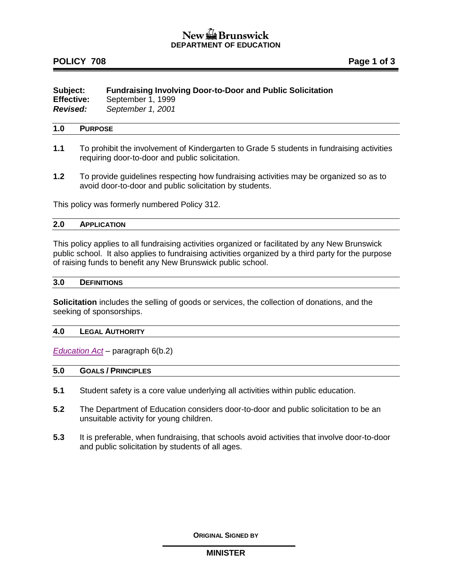# New the Brunswick **DEPARTMENT OF EDUCATION**

# **POLICY 708 Page 1 of 3**

| Subject:          | <b>Fundraising Involving Door-to-Door and Public Solicitation</b> |
|-------------------|-------------------------------------------------------------------|
| <b>Effective:</b> | September 1, 1999                                                 |
| <b>Revised:</b>   | September 1, 2001                                                 |

## **1.0 PURPOSE**

- **1.1** To prohibit the involvement of Kindergarten to Grade 5 students in fundraising activities requiring door-to-door and public solicitation.
- **1.2** To provide guidelines respecting how fundraising activities may be organized so as to avoid door-to-door and public solicitation by students.

This policy was formerly numbered Policy 312.

### **2.0 APPLICATION**

This policy applies to all fundraising activities organized or facilitated by any New Brunswick public school. It also applies to fundraising activities organized by a third party for the purpose of raising funds to benefit any New Brunswick public school.

## **3.0 DEFINITIONS**

**Solicitation** includes the selling of goods or services, the collection of donations, and the seeking of sponsorships.

### **4.0 LEGAL AUTHORITY**

*[Education Act](http://laws.gnb.ca/en/ShowPdf/cs/E-1.12.pdf)* – paragraph 6(b.2)

## **5.0 GOALS / PRINCIPLES**

- **5.1** Student safety is a core value underlying all activities within public education.
- **5.2** The Department of Education considers door-to-door and public solicitation to be an unsuitable activity for young children.
- **5.3** It is preferable, when fundraising, that schools avoid activities that involve door-to-door and public solicitation by students of all ages.

**ORIGINAL SIGNED BY**

### **MINISTER**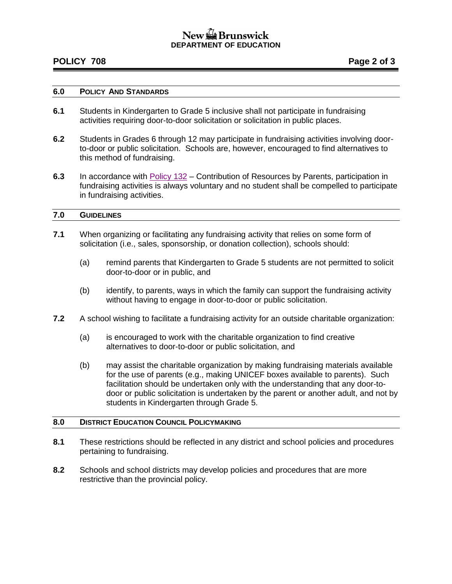# $\frac{1}{2}$  Brunswick **DEPARTMENT OF EDUCATION**

## **POLICY 708 Page 2 of 3**

#### **6.0 POLICY AND STANDARDS**

- **6.1** Students in Kindergarten to Grade 5 inclusive shall not participate in fundraising activities requiring door-to-door solicitation or solicitation in public places.
- **6.2** Students in Grades 6 through 12 may participate in fundraising activities involving doorto-door or public solicitation. Schools are, however, encouraged to find alternatives to this method of fundraising.
- **6.3** In accordance with [Policy 132](http://www2.gnb.ca/content/dam/gnb/Departments/ed/pdf/K12/policies-politiques/e/132A.pdf) Contribution of Resources by Parents, participation in fundraising activities is always voluntary and no student shall be compelled to participate in fundraising activities.

### **7.0 GUIDELINES**

- **7.1** When organizing or facilitating any fundraising activity that relies on some form of solicitation (i.e., sales, sponsorship, or donation collection), schools should:
	- (a) remind parents that Kindergarten to Grade 5 students are not permitted to solicit door-to-door or in public, and
	- (b) identify, to parents, ways in which the family can support the fundraising activity without having to engage in door-to-door or public solicitation.
- **7.2** A school wishing to facilitate a fundraising activity for an outside charitable organization:
	- (a) is encouraged to work with the charitable organization to find creative alternatives to door-to-door or public solicitation, and
	- (b) may assist the charitable organization by making fundraising materials available for the use of parents (e.g., making UNICEF boxes available to parents). Such facilitation should be undertaken only with the understanding that any door-todoor or public solicitation is undertaken by the parent or another adult, and not by students in Kindergarten through Grade 5.

### **8.0 DISTRICT EDUCATION COUNCIL POLICYMAKING**

- **8.1** These restrictions should be reflected in any district and school policies and procedures pertaining to fundraising.
- **8.2** Schools and school districts may develop policies and procedures that are more restrictive than the provincial policy.